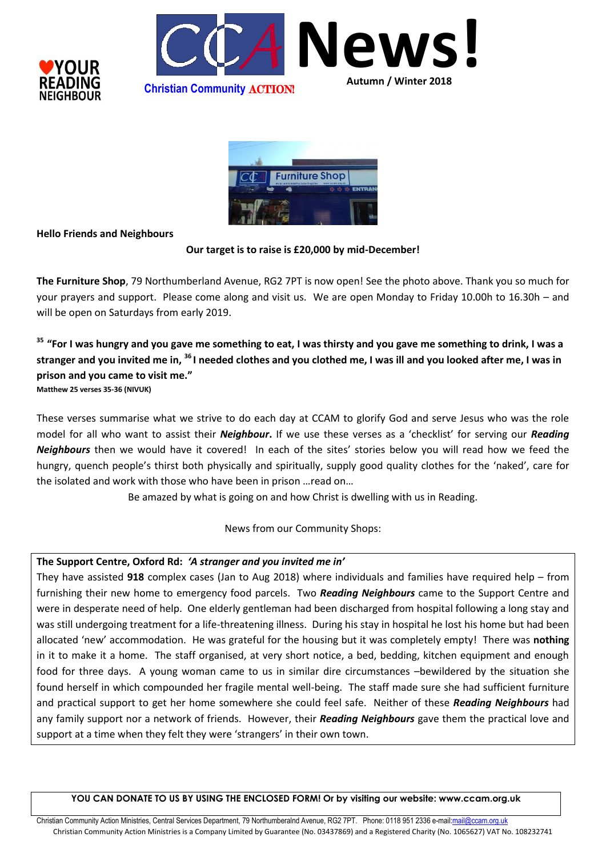





## **Hello Friends and Neighbours**

### **Our target is to raise is £20,000 by mid-December!**

**The Furniture Shop**, 79 Northumberland Avenue, RG2 7PT is now open! See the photo above. Thank you so much for your prayers and support. Please come along and visit us. We are open Monday to Friday 10.00h to 16.30h – and will be open on Saturdays from early 2019.

**<sup>35</sup> "For I was hungry and you gave me something to eat, I was thirsty and you gave me something to drink, I was a stranger and you invited me in, <sup>36</sup> I needed clothes and you clothed me, I was ill and you looked after me, I was in prison and you came to visit me."**

**Matthew 25 verses 35-36 (NIVUK)**

These verses summarise what we strive to do each day at CCAM to glorify God and serve Jesus who was the role model for all who want to assist their *Neighbour***.** If we use these verses as a 'checklist' for serving our *Reading Neighbours* then we would have it covered! In each of the sites' stories below you will read how we feed the hungry, quench people's thirst both physically and spiritually, supply good quality clothes for the 'naked', care for the isolated and work with those who have been in prison …read on…

Be amazed by what is going on and how Christ is dwelling with us in Reading.

News from our Community Shops:

## **The Support Centre, Oxford Rd:** *'A stranger and you invited me in'*

They have assisted **918** complex cases (Jan to Aug 2018) where individuals and families have required help – from furnishing their new home to emergency food parcels. Two *Reading Neighbours* came to the Support Centre and were in desperate need of help. One elderly gentleman had been discharged from hospital following a long stay and was still undergoing treatment for a life-threatening illness. During his stay in hospital he lost his home but had been allocated 'new' accommodation. He was grateful for the housing but it was completely empty! There was **nothing** in it to make it a home. The staff organised, at very short notice, a bed, bedding, kitchen equipment and enough food for three days. A young woman came to us in similar dire circumstances –bewildered by the situation she found herself in which compounded her fragile mental well-being. The staff made sure she had sufficient furniture and practical support to get her home somewhere she could feel safe. Neither of these *Reading Neighbours* had any family support nor a network of friends. However, their *Reading Neighbours* gave them the practical love and support at a time when they felt they were 'strangers' in their own town.

**YOU CAN DONATE TO US BY USING THE ENCLOSED FORM! Or by visiting our website: www.ccam.org.uk**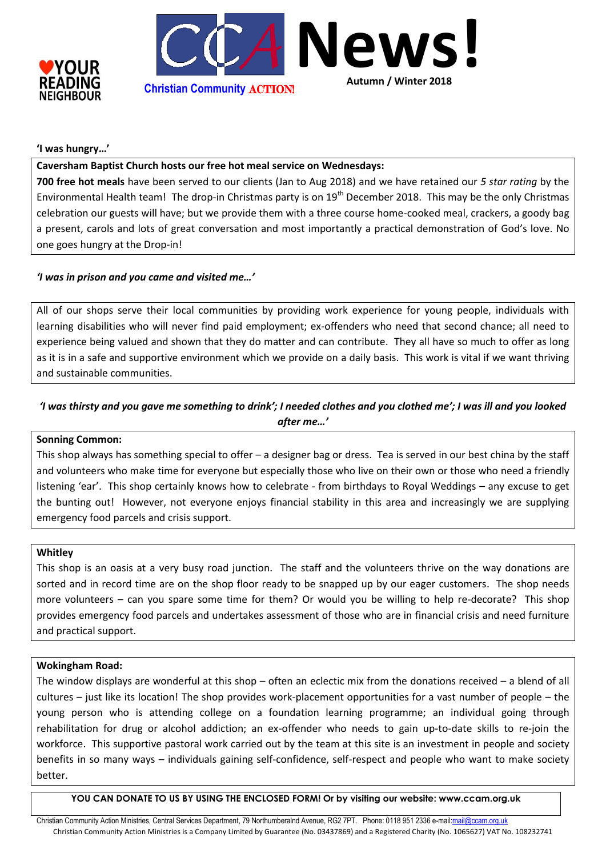



### **'I was hungry…'**

## **Caversham Baptist Church hosts our free hot meal service on Wednesdays:**

**700 free hot meals** have been served to our clients (Jan to Aug 2018) and we have retained our *5 star rating* by the Environmental Health team! The drop-in Christmas party is on 19<sup>th</sup> December 2018. This may be the only Christmas celebration our guests will have; but we provide them with a three course home-cooked meal, crackers, a goody bag a present, carols and lots of great conversation and most importantly a practical demonstration of God's love. No one goes hungry at the Drop-in!

## *'I was in prison and you came and visited me…'*

All of our shops serve their local communities by providing work experience for young people, individuals with learning disabilities who will never find paid employment; ex-offenders who need that second chance; all need to experience being valued and shown that they do matter and can contribute. They all have so much to offer as long as it is in a safe and supportive environment which we provide on a daily basis. This work is vital if we want thriving and sustainable communities.

# *'I was thirsty and you gave me something to drink'; I needed clothes and you clothed me'; I was ill and you looked after me…'*

#### **Sonning Common:**

This shop always has something special to offer – a designer bag or dress. Tea is served in our best china by the staff and volunteers who make time for everyone but especially those who live on their own or those who need a friendly listening 'ear'. This shop certainly knows how to celebrate - from birthdays to Royal Weddings – any excuse to get the bunting out! However, not everyone enjoys financial stability in this area and increasingly we are supplying emergency food parcels and crisis support.

#### **Whitley**

This shop is an oasis at a very busy road junction. The staff and the volunteers thrive on the way donations are sorted and in record time are on the shop floor ready to be snapped up by our eager customers. The shop needs more volunteers – can you spare some time for them? Or would you be willing to help re-decorate? This shop provides emergency food parcels and undertakes assessment of those who are in financial crisis and need furniture and practical support.

#### **Wokingham Road:**

The window displays are wonderful at this shop – often an eclectic mix from the donations received – a blend of all cultures – just like its location! The shop provides work-placement opportunities for a vast number of people – the young person who is attending college on a foundation learning programme; an individual going through rehabilitation for drug or alcohol addiction; an ex-offender who needs to gain up-to-date skills to re-join the workforce. This supportive pastoral work carried out by the team at this site is an investment in people and society benefits in so many ways – individuals gaining self-confidence, self-respect and people who want to make society better.

**YOU CAN DONATE TO US BY USING THE ENCLOSED FORM! Or by visiting our website: www.ccam.org.uk**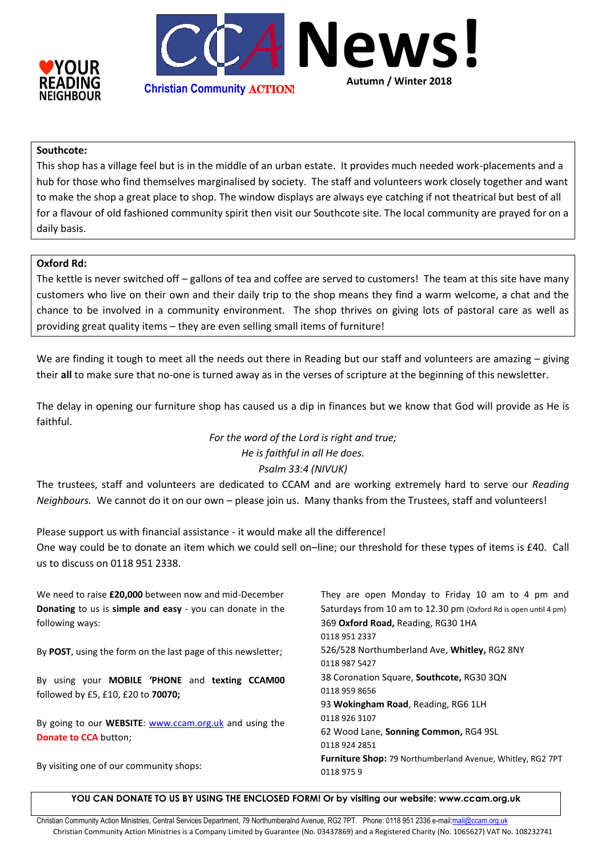



## **Southcote:**

This shop has a village feel but is in the middle of an urban estate. It provides much needed work-placements and a hub for those who find themselves marginalised by society. The staff and volunteers work closely together and want to make the shop a great place to shop. The window displays are always eye catching if not theatrical but best of all for a flavour of old fashioned community spirit then visit our Southcote site. The local community are prayed for on a daily basis.

#### **Oxford Rd:**

The kettle is never switched off – gallons of tea and coffee are served to customers! The team at this site have many customers who live on their own and their daily trip to the shop means they find a warm welcome, a chat and the chance to be involved in a community environment. The shop thrives on giving lots of pastoral care as well as providing great quality items – they are even selling small items of furniture!

We are finding it tough to meet all the needs out there in Reading but our staff and volunteers are amazing – giving their **all** to make sure that no-one is turned away as in the verses of scripture at the beginning of this newsletter.

The delay in opening our furniture shop has caused us a dip in finances but we know that God will provide as He is faithful.

# *For the word of the Lord is right and true; He is faithful in all He does. Psalm 33:4 (NIVUK)*

The trustees, staff and volunteers are dedicated to CCAM and are working extremely hard to serve our *Reading Neighbours.* We cannot do it on our own – please join us. Many thanks from the Trustees, staff and volunteers!

Please support us with financial assistance - it would make all the difference! One way could be to donate an item which we could sell on–line; our threshold for these types of items is £40. Call us to discuss on 0118 951 2338.

We need to raise **£20,000** between now and mid-December **Donating** to us is **simple and easy** - you can donate in the following ways: By **POST**, using the form on the last page of this newsletter; By using your **MOBILE 'PHONE** and **texting CCAM00** followed by £5, £10, £20 to **70070;** By going to our **WEBSITE**: [www.ccam.org.uk](http://www.ccam.org.uk/) and using the **Donate to CCA** button: By visiting one of our community shops: They are open Monday to Friday 10 am to 4 pm and Saturdays from 10 am to 12.30 pm (Oxford Rd is open until 4 pm) 369 **Oxford Road,** Reading, RG30 1HA 0118 951 2337 526/528 Northumberland Ave, **Whitley,** RG2 8NY 0118 987 5427 38 Coronation Square, **Southcote,** RG30 3QN 0118 959 8656 93 **Wokingham Road**, Reading, RG6 1LH 0118 926 3107 62 Wood Lane, **Sonning Common,** RG4 9SL 0118 924 2851 **Furniture Shop:** 79 Northumberland Avenue, Whitley, RG2 7PT 0118 975 9

**YOU CAN DONATE TO US BY USING THE ENCLOSED FORM! Or by visiting our website: www.ccam.org.uk**

Christian Community Action Ministries, Central Services Department, 79 Northumberalnd Avenue, RG2 7PT. Phone: 0118 951 2336 e-mail:mail@cc Christian Community Action Ministries is a Company Limited by Guarantee (No. 03437869) and a Registered Charity (No. 1065627) VAT No. 108232741